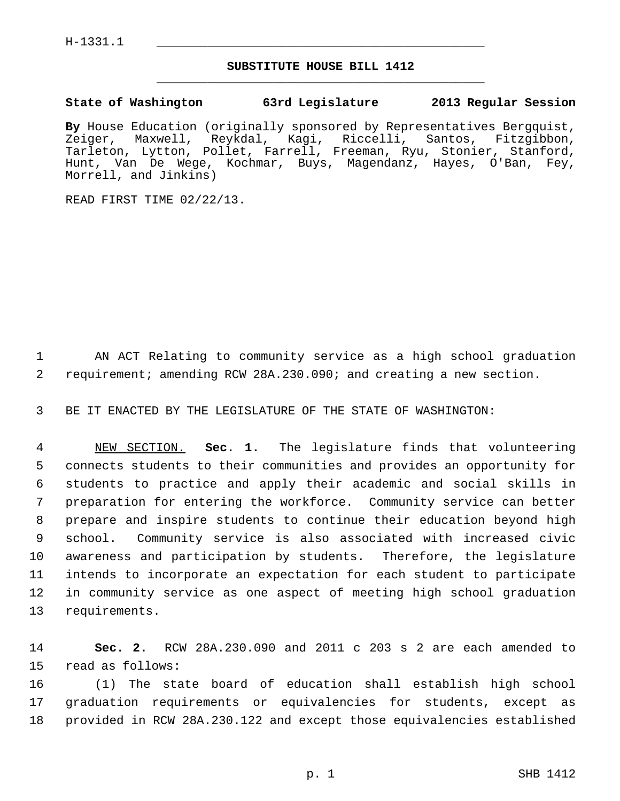## **SUBSTITUTE HOUSE BILL 1412** \_\_\_\_\_\_\_\_\_\_\_\_\_\_\_\_\_\_\_\_\_\_\_\_\_\_\_\_\_\_\_\_\_\_\_\_\_\_\_\_\_\_\_\_\_

## **State of Washington 63rd Legislature 2013 Regular Session**

**By** House Education (originally sponsored by Representatives Bergquist, Zeiger, Maxwell, Reykdal, Kagi, Riccelli, Santos, Fitzgibbon, Tarleton, Lytton, Pollet, Farrell, Freeman, Ryu, Stonier, Stanford, Hunt, Van De Wege, Kochmar, Buys, Magendanz, Hayes, O'Ban, Fey, Morrell, and Jinkins)

READ FIRST TIME 02/22/13.

 1 AN ACT Relating to community service as a high school graduation 2 requirement; amending RCW 28A.230.090; and creating a new section.

3 BE IT ENACTED BY THE LEGISLATURE OF THE STATE OF WASHINGTON:

 4 NEW SECTION. **Sec. 1.** The legislature finds that volunteering 5 connects students to their communities and provides an opportunity for 6 students to practice and apply their academic and social skills in 7 preparation for entering the workforce. Community service can better 8 prepare and inspire students to continue their education beyond high 9 school. Community service is also associated with increased civic 10 awareness and participation by students. Therefore, the legislature 11 intends to incorporate an expectation for each student to participate 12 in community service as one aspect of meeting high school graduation 13 requirements.

14 **Sec. 2.** RCW 28A.230.090 and 2011 c 203 s 2 are each amended to 15 read as follows:

16 (1) The state board of education shall establish high school 17 graduation requirements or equivalencies for students, except as 18 provided in RCW 28A.230.122 and except those equivalencies established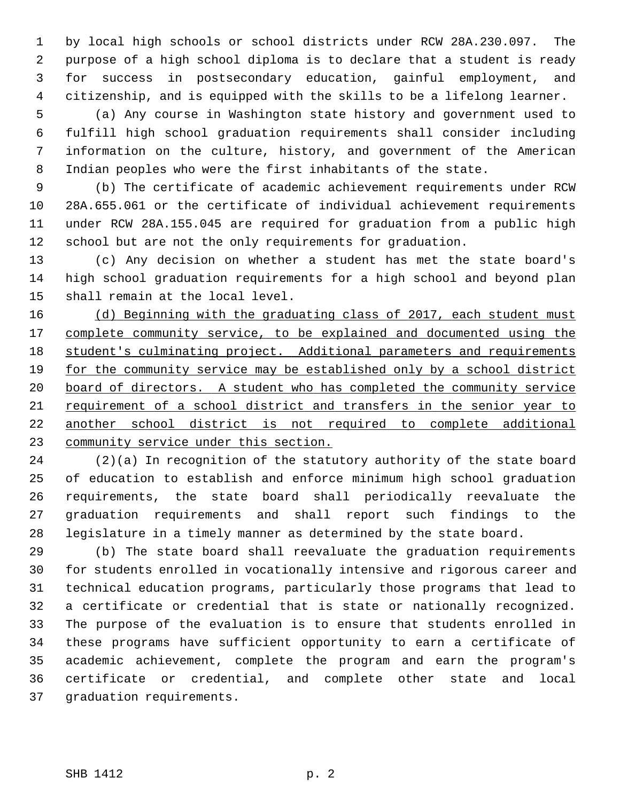1 by local high schools or school districts under RCW 28A.230.097. The 2 purpose of a high school diploma is to declare that a student is ready 3 for success in postsecondary education, gainful employment, and 4 citizenship, and is equipped with the skills to be a lifelong learner.

 5 (a) Any course in Washington state history and government used to 6 fulfill high school graduation requirements shall consider including 7 information on the culture, history, and government of the American 8 Indian peoples who were the first inhabitants of the state.

 9 (b) The certificate of academic achievement requirements under RCW 10 28A.655.061 or the certificate of individual achievement requirements 11 under RCW 28A.155.045 are required for graduation from a public high 12 school but are not the only requirements for graduation.

13 (c) Any decision on whether a student has met the state board's 14 high school graduation requirements for a high school and beyond plan 15 shall remain at the local level.

 (d) Beginning with the graduating class of 2017, each student must complete community service, to be explained and documented using the student's culminating project. Additional parameters and requirements for the community service may be established only by a school district board of directors. A student who has completed the community service requirement of a school district and transfers in the senior year to another school district is not required to complete additional community service under this section.

24 (2)(a) In recognition of the statutory authority of the state board 25 of education to establish and enforce minimum high school graduation 26 requirements, the state board shall periodically reevaluate the 27 graduation requirements and shall report such findings to the 28 legislature in a timely manner as determined by the state board.

29 (b) The state board shall reevaluate the graduation requirements 30 for students enrolled in vocationally intensive and rigorous career and 31 technical education programs, particularly those programs that lead to 32 a certificate or credential that is state or nationally recognized. 33 The purpose of the evaluation is to ensure that students enrolled in 34 these programs have sufficient opportunity to earn a certificate of 35 academic achievement, complete the program and earn the program's 36 certificate or credential, and complete other state and local 37 graduation requirements.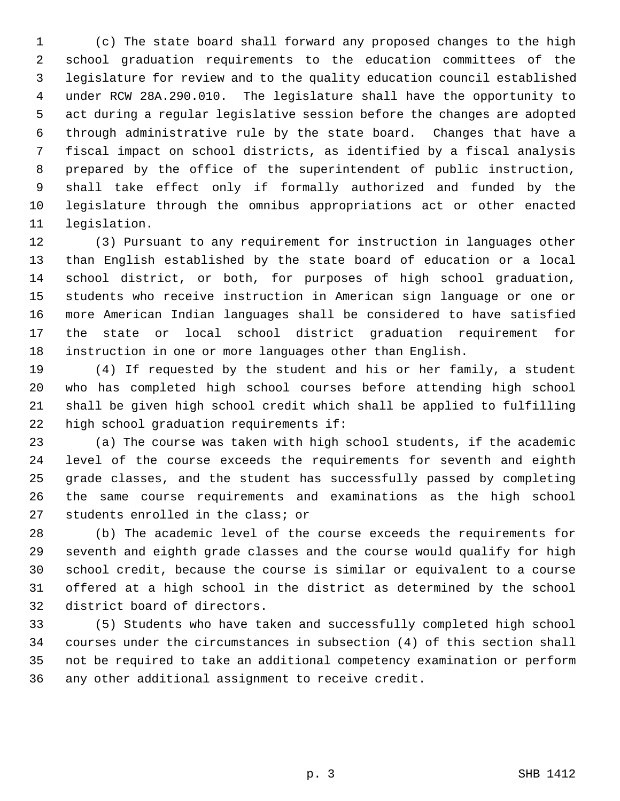1 (c) The state board shall forward any proposed changes to the high 2 school graduation requirements to the education committees of the 3 legislature for review and to the quality education council established 4 under RCW 28A.290.010. The legislature shall have the opportunity to 5 act during a regular legislative session before the changes are adopted 6 through administrative rule by the state board. Changes that have a 7 fiscal impact on school districts, as identified by a fiscal analysis 8 prepared by the office of the superintendent of public instruction, 9 shall take effect only if formally authorized and funded by the 10 legislature through the omnibus appropriations act or other enacted 11 legislation.

12 (3) Pursuant to any requirement for instruction in languages other 13 than English established by the state board of education or a local 14 school district, or both, for purposes of high school graduation, 15 students who receive instruction in American sign language or one or 16 more American Indian languages shall be considered to have satisfied 17 the state or local school district graduation requirement for 18 instruction in one or more languages other than English.

19 (4) If requested by the student and his or her family, a student 20 who has completed high school courses before attending high school 21 shall be given high school credit which shall be applied to fulfilling 22 high school graduation requirements if:

23 (a) The course was taken with high school students, if the academic 24 level of the course exceeds the requirements for seventh and eighth 25 grade classes, and the student has successfully passed by completing 26 the same course requirements and examinations as the high school 27 students enrolled in the class; or

28 (b) The academic level of the course exceeds the requirements for 29 seventh and eighth grade classes and the course would qualify for high 30 school credit, because the course is similar or equivalent to a course 31 offered at a high school in the district as determined by the school 32 district board of directors.

33 (5) Students who have taken and successfully completed high school 34 courses under the circumstances in subsection (4) of this section shall 35 not be required to take an additional competency examination or perform 36 any other additional assignment to receive credit.